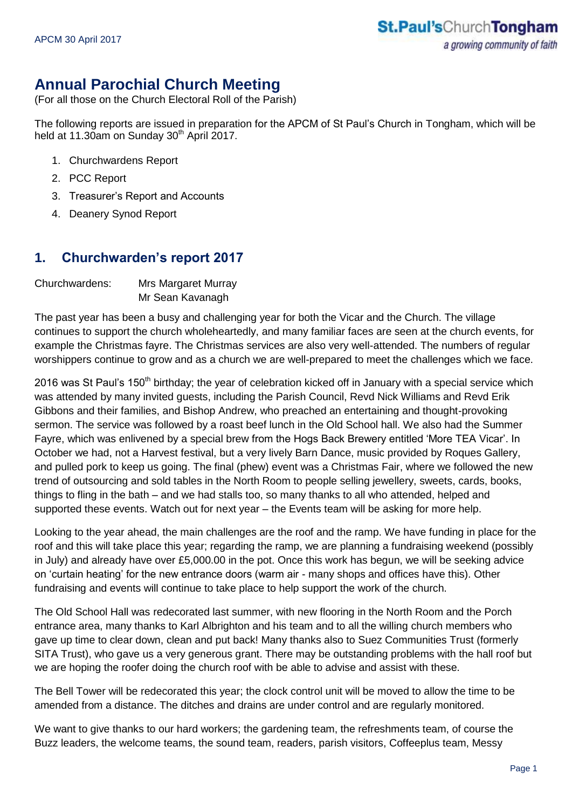# **Annual Parochial Church Meeting**

(For all those on the Church Electoral Roll of the Parish)

The following reports are issued in preparation for the APCM of St Paul's Church in Tongham, which will be held at 11.30am on Sunday  $30<sup>th</sup>$  April 2017.

- 1. Churchwardens Report
- 2. PCC Report
- 3. Treasurer's Report and Accounts
- 4. Deanery Synod Report

### **1. Churchwarden's report 2017**

Churchwardens: Mrs Margaret Murray Mr Sean Kavanagh

The past year has been a busy and challenging year for both the Vicar and the Church. The village continues to support the church wholeheartedly, and many familiar faces are seen at the church events, for example the Christmas fayre. The Christmas services are also very well-attended. The numbers of regular worshippers continue to grow and as a church we are well-prepared to meet the challenges which we face.

2016 was St Paul's 150<sup>th</sup> birthday; the year of celebration kicked off in January with a special service which was attended by many invited guests, including the Parish Council, Revd Nick Williams and Revd Erik Gibbons and their families, and Bishop Andrew, who preached an entertaining and thought-provoking sermon. The service was followed by a roast beef lunch in the Old School hall. We also had the Summer Fayre, which was enlivened by a special brew from the Hogs Back Brewery entitled 'More TEA Vicar'. In October we had, not a Harvest festival, but a very lively Barn Dance, music provided by Roques Gallery, and pulled pork to keep us going. The final (phew) event was a Christmas Fair, where we followed the new trend of outsourcing and sold tables in the North Room to people selling jewellery, sweets, cards, books, things to fling in the bath – and we had stalls too, so many thanks to all who attended, helped and supported these events. Watch out for next year – the Events team will be asking for more help.

Looking to the year ahead, the main challenges are the roof and the ramp. We have funding in place for the roof and this will take place this year; regarding the ramp, we are planning a fundraising weekend (possibly in July) and already have over £5,000.00 in the pot. Once this work has begun, we will be seeking advice on 'curtain heating' for the new entrance doors (warm air - many shops and offices have this). Other fundraising and events will continue to take place to help support the work of the church.

The Old School Hall was redecorated last summer, with new flooring in the North Room and the Porch entrance area, many thanks to Karl Albrighton and his team and to all the willing church members who gave up time to clear down, clean and put back! Many thanks also to Suez Communities Trust (formerly SITA Trust), who gave us a very generous grant. There may be outstanding problems with the hall roof but we are hoping the roofer doing the church roof with be able to advise and assist with these.

The Bell Tower will be redecorated this year; the clock control unit will be moved to allow the time to be amended from a distance. The ditches and drains are under control and are regularly monitored.

We want to give thanks to our hard workers; the gardening team, the refreshments team, of course the Buzz leaders, the welcome teams, the sound team, readers, parish visitors, Coffeeplus team, Messy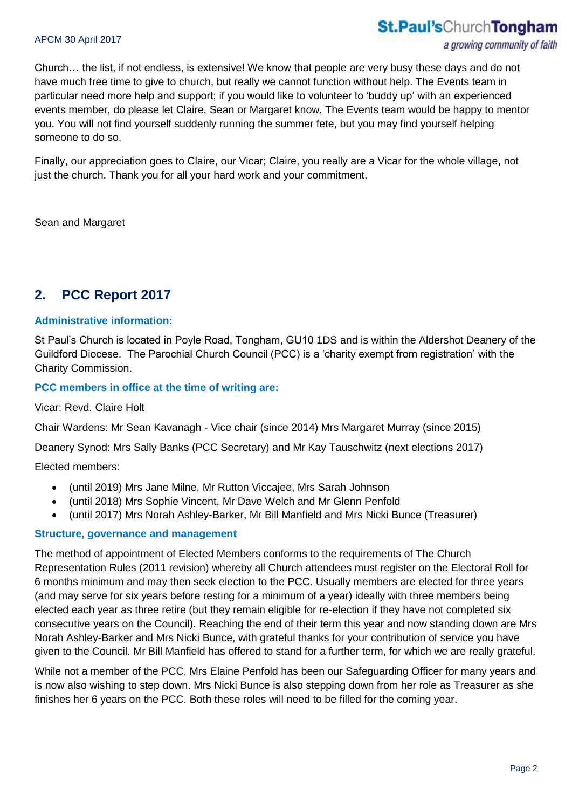Church… the list, if not endless, is extensive! We know that people are very busy these days and do not have much free time to give to church, but really we cannot function without help. The Events team in particular need more help and support; if you would like to volunteer to 'buddy up' with an experienced events member, do please let Claire, Sean or Margaret know. The Events team would be happy to mentor you. You will not find yourself suddenly running the summer fete, but you may find yourself helping someone to do so.

Finally, our appreciation goes to Claire, our Vicar; Claire, you really are a Vicar for the whole village, not just the church. Thank you for all your hard work and your commitment.

Sean and Margaret

## **2. PCC Report 2017**

#### **Administrative information:**

St Paul's Church is located in Poyle Road, Tongham, GU10 1DS and is within the Aldershot Deanery of the Guildford Diocese. The Parochial Church Council (PCC) is a 'charity exempt from registration' with the Charity Commission.

#### **PCC members in office at the time of writing are:**

#### Vicar: Revd. Claire Holt

Chair Wardens: Mr Sean Kavanagh - Vice chair (since 2014) Mrs Margaret Murray (since 2015)

Deanery Synod: Mrs Sally Banks (PCC Secretary) and Mr Kay Tauschwitz (next elections 2017)

Elected members:

- (until 2019) Mrs Jane Milne, Mr Rutton Viccajee, Mrs Sarah Johnson
- (until 2018) Mrs Sophie Vincent, Mr Dave Welch and Mr Glenn Penfold
- (until 2017) Mrs Norah Ashley-Barker, Mr Bill Manfield and Mrs Nicki Bunce (Treasurer)

#### **Structure, governance and management**

The method of appointment of Elected Members conforms to the requirements of The Church Representation Rules (2011 revision) whereby all Church attendees must register on the Electoral Roll for 6 months minimum and may then seek election to the PCC. Usually members are elected for three years (and may serve for six years before resting for a minimum of a year) ideally with three members being elected each year as three retire (but they remain eligible for re-election if they have not completed six consecutive years on the Council). Reaching the end of their term this year and now standing down are Mrs Norah Ashley-Barker and Mrs Nicki Bunce, with grateful thanks for your contribution of service you have given to the Council. Mr Bill Manfield has offered to stand for a further term, for which we are really grateful.

While not a member of the PCC, Mrs Elaine Penfold has been our Safeguarding Officer for many years and is now also wishing to step down. Mrs Nicki Bunce is also stepping down from her role as Treasurer as she finishes her 6 years on the PCC. Both these roles will need to be filled for the coming year.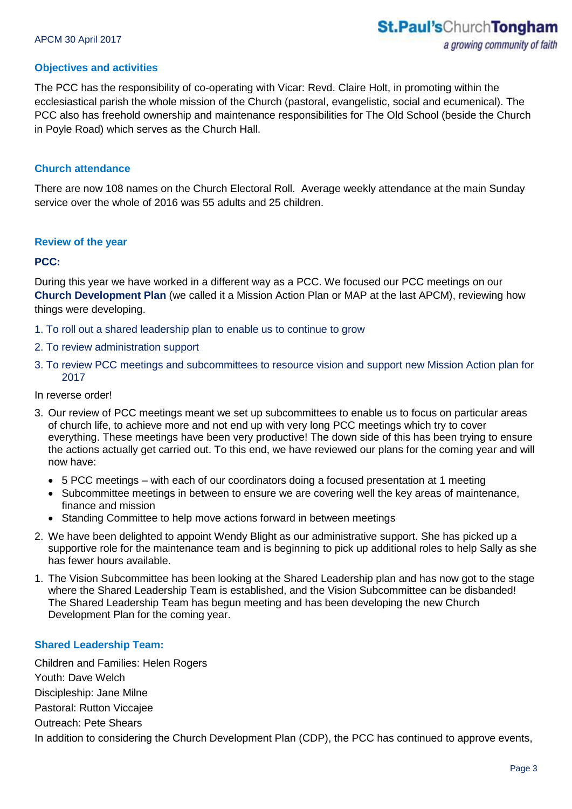#### **Objectives and activities**

The PCC has the responsibility of co-operating with Vicar: Revd. Claire Holt, in promoting within the ecclesiastical parish the whole mission of the Church (pastoral, evangelistic, social and ecumenical). The PCC also has freehold ownership and maintenance responsibilities for The Old School (beside the Church in Poyle Road) which serves as the Church Hall.

#### **Church attendance**

There are now 108 names on the Church Electoral Roll. Average weekly attendance at the main Sunday service over the whole of 2016 was 55 adults and 25 children.

#### **Review of the year**

#### **PCC:**

During this year we have worked in a different way as a PCC. We focused our PCC meetings on our **Church Development Plan** (we called it a Mission Action Plan or MAP at the last APCM), reviewing how things were developing.

- 1. To roll out a shared leadership plan to enable us to continue to grow
- 2. To review administration support
- 3. To review PCC meetings and subcommittees to resource vision and support new Mission Action plan for 2017

#### In reverse order!

- 3. Our review of PCC meetings meant we set up subcommittees to enable us to focus on particular areas of church life, to achieve more and not end up with very long PCC meetings which try to cover everything. These meetings have been very productive! The down side of this has been trying to ensure the actions actually get carried out. To this end, we have reviewed our plans for the coming year and will now have:
	- 5 PCC meetings with each of our coordinators doing a focused presentation at 1 meeting
	- Subcommittee meetings in between to ensure we are covering well the key areas of maintenance, finance and mission
	- Standing Committee to help move actions forward in between meetings
- 2. We have been delighted to appoint Wendy Blight as our administrative support. She has picked up a supportive role for the maintenance team and is beginning to pick up additional roles to help Sally as she has fewer hours available.
- 1. The Vision Subcommittee has been looking at the Shared Leadership plan and has now got to the stage where the Shared Leadership Team is established, and the Vision Subcommittee can be disbanded! The Shared Leadership Team has begun meeting and has been developing the new Church Development Plan for the coming year.

#### **Shared Leadership Team:**

Children and Families: Helen Rogers Youth: Dave Welch Discipleship: Jane Milne Pastoral: Rutton Viccajee Outreach: Pete Shears In addition to considering the Church Development Plan (CDP), the PCC has continued to approve events,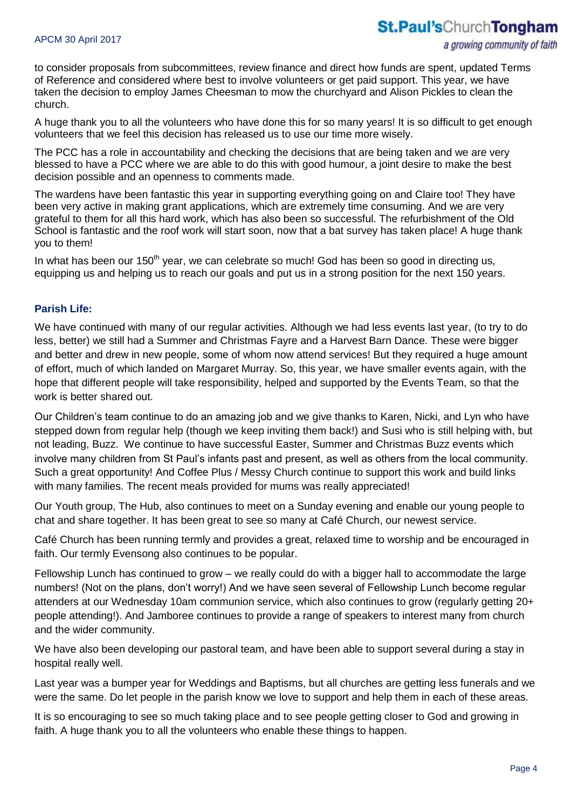to consider proposals from subcommittees, review finance and direct how funds are spent, updated Terms of Reference and considered where best to involve volunteers or get paid support. This year, we have taken the decision to employ James Cheesman to mow the churchyard and Alison Pickles to clean the church.

A huge thank you to all the volunteers who have done this for so many years! It is so difficult to get enough volunteers that we feel this decision has released us to use our time more wisely.

The PCC has a role in accountability and checking the decisions that are being taken and we are very blessed to have a PCC where we are able to do this with good humour, a joint desire to make the best decision possible and an openness to comments made.

The wardens have been fantastic this year in supporting everything going on and Claire too! They have been very active in making grant applications, which are extremely time consuming. And we are very grateful to them for all this hard work, which has also been so successful. The refurbishment of the Old School is fantastic and the roof work will start soon, now that a bat survey has taken place! A huge thank you to them!

In what has been our  $150<sup>th</sup>$  year, we can celebrate so much! God has been so good in directing us, equipping us and helping us to reach our goals and put us in a strong position for the next 150 years.

#### **Parish Life:**

We have continued with many of our regular activities. Although we had less events last year, (to try to do less, better) we still had a Summer and Christmas Fayre and a Harvest Barn Dance. These were bigger and better and drew in new people, some of whom now attend services! But they required a huge amount of effort, much of which landed on Margaret Murray. So, this year, we have smaller events again, with the hope that different people will take responsibility, helped and supported by the Events Team, so that the work is better shared out.

Our Children's team continue to do an amazing job and we give thanks to Karen, Nicki, and Lyn who have stepped down from regular help (though we keep inviting them back!) and Susi who is still helping with, but not leading, Buzz. We continue to have successful Easter, Summer and Christmas Buzz events which involve many children from St Paul's infants past and present, as well as others from the local community. Such a great opportunity! And Coffee Plus / Messy Church continue to support this work and build links with many families. The recent meals provided for mums was really appreciated!

Our Youth group, The Hub, also continues to meet on a Sunday evening and enable our young people to chat and share together. It has been great to see so many at Café Church, our newest service.

Café Church has been running termly and provides a great, relaxed time to worship and be encouraged in faith. Our termly Evensong also continues to be popular.

Fellowship Lunch has continued to grow – we really could do with a bigger hall to accommodate the large numbers! (Not on the plans, don't worry!) And we have seen several of Fellowship Lunch become regular attenders at our Wednesday 10am communion service, which also continues to grow (regularly getting 20+ people attending!). And Jamboree continues to provide a range of speakers to interest many from church and the wider community.

We have also been developing our pastoral team, and have been able to support several during a stay in hospital really well.

Last year was a bumper year for Weddings and Baptisms, but all churches are getting less funerals and we were the same. Do let people in the parish know we love to support and help them in each of these areas.

It is so encouraging to see so much taking place and to see people getting closer to God and growing in faith. A huge thank you to all the volunteers who enable these things to happen.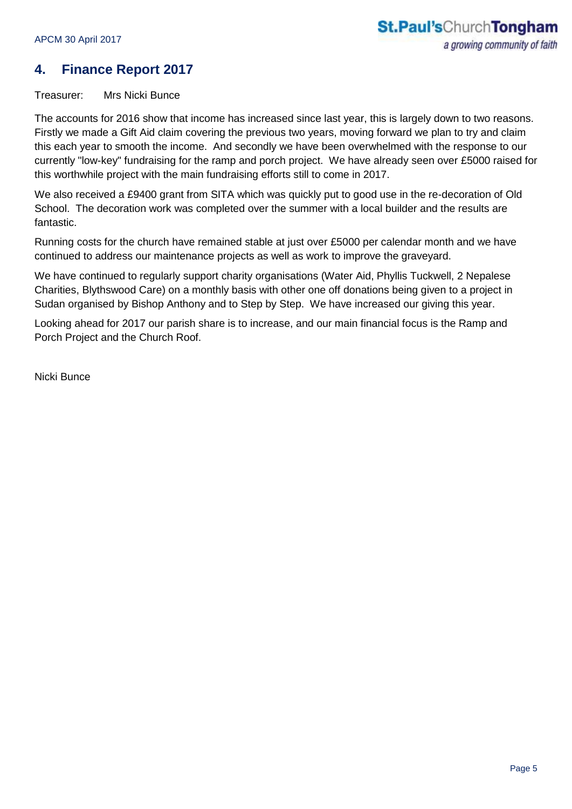# **4. Finance Report 2017**

Treasurer: Mrs Nicki Bunce

The accounts for 2016 show that income has increased since last year, this is largely down to two reasons. Firstly we made a Gift Aid claim covering the previous two years, moving forward we plan to try and claim this each year to smooth the income. And secondly we have been overwhelmed with the response to our currently "low-key" fundraising for the ramp and porch project. We have already seen over £5000 raised for this worthwhile project with the main fundraising efforts still to come in 2017.

We also received a £9400 grant from SITA which was quickly put to good use in the re-decoration of Old School. The decoration work was completed over the summer with a local builder and the results are fantastic.

Running costs for the church have remained stable at just over £5000 per calendar month and we have continued to address our maintenance projects as well as work to improve the graveyard.

We have continued to regularly support charity organisations (Water Aid, Phyllis Tuckwell, 2 Nepalese Charities, Blythswood Care) on a monthly basis with other one off donations being given to a project in Sudan organised by Bishop Anthony and to Step by Step. We have increased our giving this year.

Looking ahead for 2017 our parish share is to increase, and our main financial focus is the Ramp and Porch Project and the Church Roof.

Nicki Bunce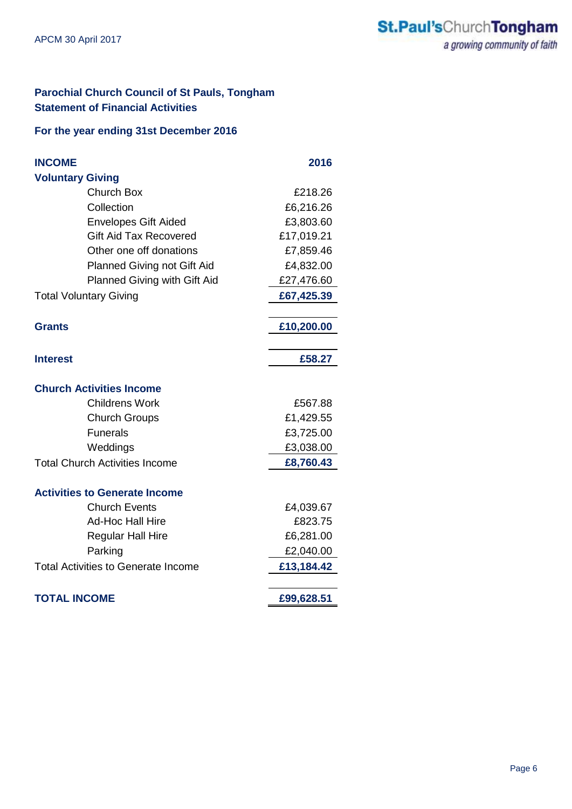## **Parochial Church Council of St Pauls, Tongham Statement of Financial Activities**

#### **For the year ending 31st December 2016**

| <b>INCOME</b>                              | 2016       |
|--------------------------------------------|------------|
| <b>Voluntary Giving</b>                    |            |
| <b>Church Box</b>                          | £218.26    |
| Collection                                 | £6,216.26  |
| <b>Envelopes Gift Aided</b>                | £3,803.60  |
| <b>Gift Aid Tax Recovered</b>              | £17,019.21 |
| Other one off donations                    | £7,859.46  |
| Planned Giving not Gift Aid                | £4,832.00  |
| Planned Giving with Gift Aid               | £27,476.60 |
| <b>Total Voluntary Giving</b>              | £67,425.39 |
|                                            |            |
| <b>Grants</b>                              | £10,200.00 |
|                                            |            |
| <b>Interest</b>                            | £58.27     |
|                                            |            |
| <b>Church Activities Income</b>            |            |
| <b>Childrens Work</b>                      | £567.88    |
| <b>Church Groups</b>                       | £1,429.55  |
| <b>Funerals</b>                            | £3,725.00  |
| Weddings                                   | £3,038.00  |
| <b>Total Church Activities Income</b>      | £8,760.43  |
|                                            |            |
| <b>Activities to Generate Income</b>       |            |
| <b>Church Events</b>                       | £4,039.67  |
| <b>Ad-Hoc Hall Hire</b>                    | £823.75    |
| <b>Regular Hall Hire</b>                   | £6,281.00  |
| Parking                                    | £2,040.00  |
| <b>Total Activities to Generate Income</b> | £13,184.42 |
|                                            |            |
| <b>TOTAL INCOME</b>                        | £99,628.51 |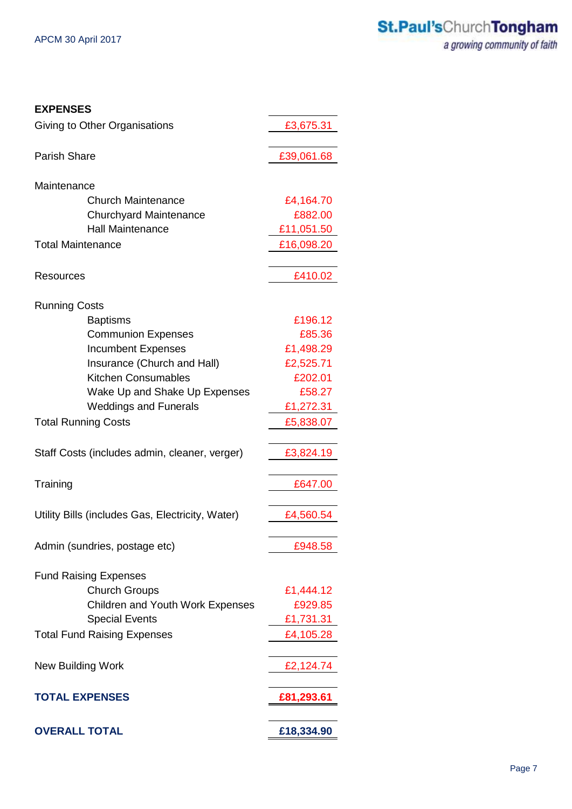| <b>EXPENSES</b>                                      |            |
|------------------------------------------------------|------------|
| Giving to Other Organisations                        | £3,675.31  |
| Parish Share                                         | £39,061.68 |
| Maintenance                                          |            |
| <b>Church Maintenance</b>                            | £4,164.70  |
| <b>Churchyard Maintenance</b>                        | £882.00    |
| <b>Hall Maintenance</b>                              | £11,051.50 |
| <b>Total Maintenance</b>                             | £16,098.20 |
|                                                      |            |
| Resources                                            | £410.02    |
| <b>Running Costs</b>                                 |            |
| <b>Baptisms</b>                                      | £196.12    |
| <b>Communion Expenses</b>                            | £85.36     |
| <b>Incumbent Expenses</b>                            | £1,498.29  |
| Insurance (Church and Hall)                          | £2,525.71  |
| <b>Kitchen Consumables</b>                           | £202.01    |
| Wake Up and Shake Up Expenses                        | £58.27     |
| <b>Weddings and Funerals</b>                         | £1,272.31  |
| <b>Total Running Costs</b>                           | £5,838.07  |
|                                                      |            |
| Staff Costs (includes admin, cleaner, verger)        | £3,824.19  |
| Training                                             | £647.00    |
|                                                      |            |
| Utility Bills (includes Gas, Electricity, Water)     | £4,560.54  |
| Admin (sundries, postage etc)                        | £948.58    |
|                                                      |            |
| <b>Fund Raising Expenses</b><br><b>Church Groups</b> | £1,444.12  |
| <b>Children and Youth Work Expenses</b>              | £929.85    |
| <b>Special Events</b>                                | £1,731.31  |
| <b>Total Fund Raising Expenses</b>                   | £4,105.28  |
|                                                      |            |
| <b>New Building Work</b>                             | £2,124.74  |
| <b>TOTAL EXPENSES</b>                                | £81,293.61 |
|                                                      |            |
| <b>OVERALL TOTAL</b>                                 | £18,334.90 |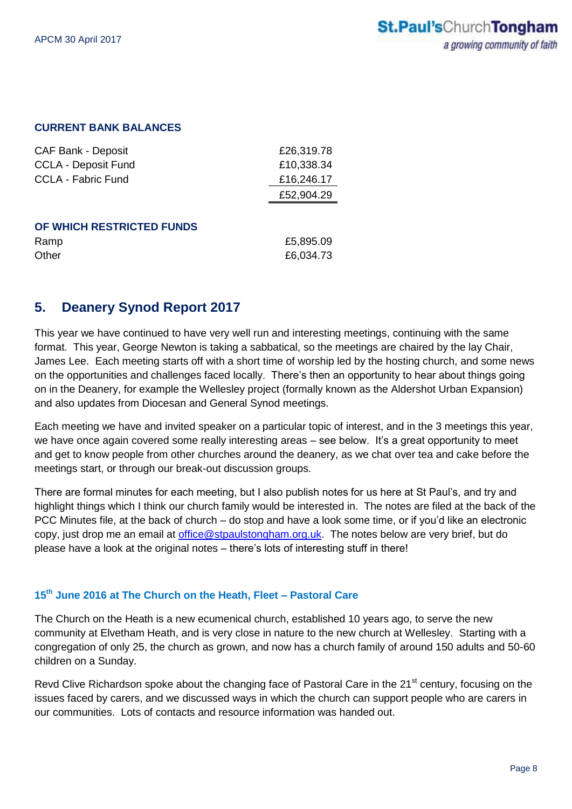#### **CURRENT BANK BALANCES**

| <b>CAF Bank - Deposit</b>  | £26,319.78 |
|----------------------------|------------|
| <b>CCLA - Deposit Fund</b> | £10,338.34 |
| <b>CCLA - Fabric Fund</b>  | £16,246.17 |
|                            | £52,904.29 |
|                            |            |
| OF WHICH RESTRICTED FUNDS  |            |
| Ramp                       | £5,895.09  |

# Other **E6,034.73**

## **5. Deanery Synod Report 2017**

This year we have continued to have very well run and interesting meetings, continuing with the same format. This year, George Newton is taking a sabbatical, so the meetings are chaired by the lay Chair, James Lee. Each meeting starts off with a short time of worship led by the hosting church, and some news on the opportunities and challenges faced locally. There's then an opportunity to hear about things going on in the Deanery, for example the Wellesley project (formally known as the Aldershot Urban Expansion) and also updates from Diocesan and General Synod meetings.

Each meeting we have and invited speaker on a particular topic of interest, and in the 3 meetings this year, we have once again covered some really interesting areas – see below. It's a great opportunity to meet and get to know people from other churches around the deanery, as we chat over tea and cake before the meetings start, or through our break-out discussion groups.

There are formal minutes for each meeting, but I also publish notes for us here at St Paul's, and try and highlight things which I think our church family would be interested in. The notes are filed at the back of the PCC Minutes file, at the back of church – do stop and have a look some time, or if you'd like an electronic copy, just drop me an email at [office@stpaulstongham.org.uk.](mailto:office@stpaulstongham.org.uk) The notes below are very brief, but do please have a look at the original notes – there's lots of interesting stuff in there!

#### **15 th June 2016 at The Church on the Heath, Fleet – Pastoral Care**

The Church on the Heath is a new ecumenical church, established 10 years ago, to serve the new community at Elvetham Heath, and is very close in nature to the new church at Wellesley. Starting with a congregation of only 25, the church as grown, and now has a church family of around 150 adults and 50-60 children on a Sunday.

Revd Clive Richardson spoke about the changing face of Pastoral Care in the 21<sup>st</sup> century, focusing on the issues faced by carers, and we discussed ways in which the church can support people who are carers in our communities. Lots of contacts and resource information was handed out.